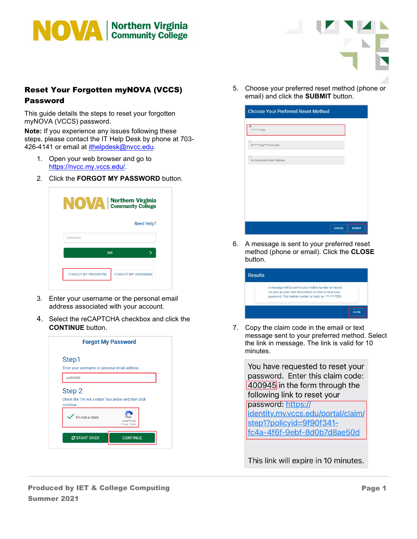



## Reset Your Forgotten myNOVA (VCCS) Password

This guide details the steps to reset your forgotten myNOVA (VCCS) password.

**Note:** If you experience any issues following these steps, please contact the IT Help Desk by phone at 703- 426-4141 or email at [ithelpdesk@nvcc.edu.](mailto:ithelpdesk@nvcc.edu)

- 1. Open your web browser and go to [https://nvcc.my.vccs.edu/.](https://nvcc.my.vccs.edu/)
- 2. Click the **FORGOT MY PASSWORD** button.

| NOVA   Northern Virginia  |                           |
|---------------------------|---------------------------|
|                           | Need Help?                |
| Username                  |                           |
|                           | GO                        |
| <b>FORGOT MY PASSWORD</b> | <b>FORGOT MY USERNAME</b> |

- 3. Enter your username or the personal email address associated with your account.
- 4. Select the reCAPTCHA checkbox and click the **CONTINUE** button.



5. Choose your preferred reset method (phone or email) and click the **SUBMIT** button.

| <b>Choose Your Preferred Reset Method</b> |  |               |               |
|-------------------------------------------|--|---------------|---------------|
| ***.***.7333                              |  |               |               |
| a******7@e***I.vccs.edu                   |  |               |               |
| No Secondary Email Address                |  |               |               |
|                                           |  |               |               |
|                                           |  |               |               |
|                                           |  |               |               |
|                                           |  |               |               |
|                                           |  | <b>CANCEL</b> | <b>SUBMIT</b> |

6. A message is sent to your preferred reset method (phone or email). Click the **CLOSE** button.

|                                                         | A message will be sent to your mobile number on record  |  |
|---------------------------------------------------------|---------------------------------------------------------|--|
| password. That mobile number is listed as: ***-***-7333 | for your account with instructions on how to reset your |  |

7. Copy the claim code in the email or text message sent to your preferred method. Select the link in message. The link is valid for 10 minutes.

You have requested to reset your password. Enter this claim code: 400945 in the form through the following link to reset your password: https://

identity.my.vccs.edu/portal/claim/ step1?policyid=9f90f341fc4a-4f6f-9ebf-8d0b7d8ae50d

This link will expire in 10 minutes.

Produced by IET & College Computing Summer 2021